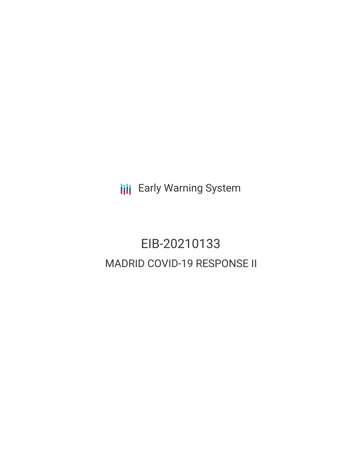**III** Early Warning System

# EIB-20210133 MADRID COVID-19 RESPONSE II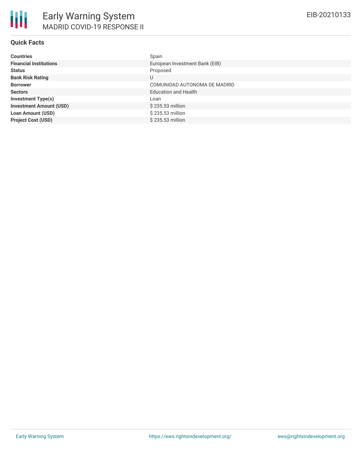#### **Quick Facts**

| <b>Countries</b>               | Spain                          |
|--------------------------------|--------------------------------|
| <b>Financial Institutions</b>  | European Investment Bank (EIB) |
| <b>Status</b>                  | Proposed                       |
| <b>Bank Risk Rating</b>        | U                              |
| <b>Borrower</b>                | COMUNIDAD AUTONOMA DE MADRID   |
| <b>Sectors</b>                 | <b>Education and Health</b>    |
| <b>Investment Type(s)</b>      | Loan                           |
| <b>Investment Amount (USD)</b> | \$235.53 million               |
| <b>Loan Amount (USD)</b>       | \$235.53 million               |
| <b>Project Cost (USD)</b>      | \$235,53 million               |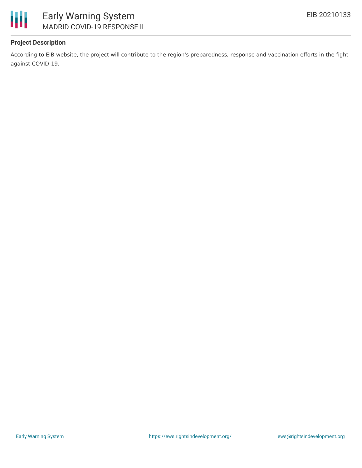

## **Project Description**

According to EIB website, the project will contribute to the region's preparedness, response and vaccination efforts in the fight against COVID-19.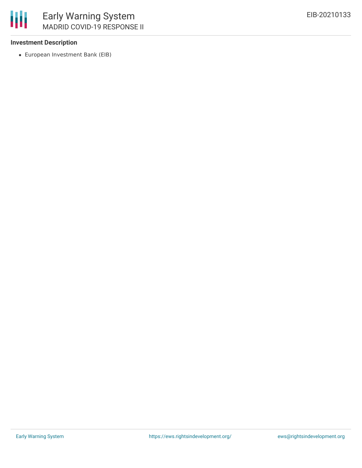#### **Investment Description**

European Investment Bank (EIB)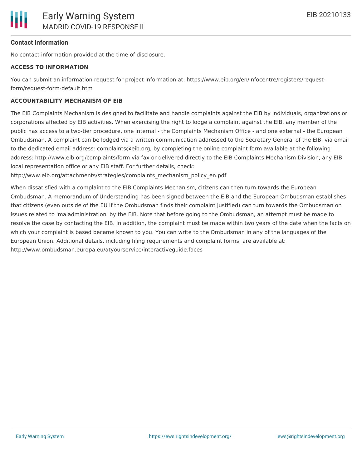#### **Contact Information**

No contact information provided at the time of disclosure.

#### **ACCESS TO INFORMATION**

You can submit an information request for project information at: https://www.eib.org/en/infocentre/registers/requestform/request-form-default.htm

#### **ACCOUNTABILITY MECHANISM OF EIB**

The EIB Complaints Mechanism is designed to facilitate and handle complaints against the EIB by individuals, organizations or corporations affected by EIB activities. When exercising the right to lodge a complaint against the EIB, any member of the public has access to a two-tier procedure, one internal - the Complaints Mechanism Office - and one external - the European Ombudsman. A complaint can be lodged via a written communication addressed to the Secretary General of the EIB, via email to the dedicated email address: complaints@eib.org, by completing the online complaint form available at the following address: http://www.eib.org/complaints/form via fax or delivered directly to the EIB Complaints Mechanism Division, any EIB local representation office or any EIB staff. For further details, check:

http://www.eib.org/attachments/strategies/complaints\_mechanism\_policy\_en.pdf

When dissatisfied with a complaint to the EIB Complaints Mechanism, citizens can then turn towards the European Ombudsman. A memorandum of Understanding has been signed between the EIB and the European Ombudsman establishes that citizens (even outside of the EU if the Ombudsman finds their complaint justified) can turn towards the Ombudsman on issues related to 'maladministration' by the EIB. Note that before going to the Ombudsman, an attempt must be made to resolve the case by contacting the EIB. In addition, the complaint must be made within two years of the date when the facts on which your complaint is based became known to you. You can write to the Ombudsman in any of the languages of the European Union. Additional details, including filing requirements and complaint forms, are available at: http://www.ombudsman.europa.eu/atyourservice/interactiveguide.faces